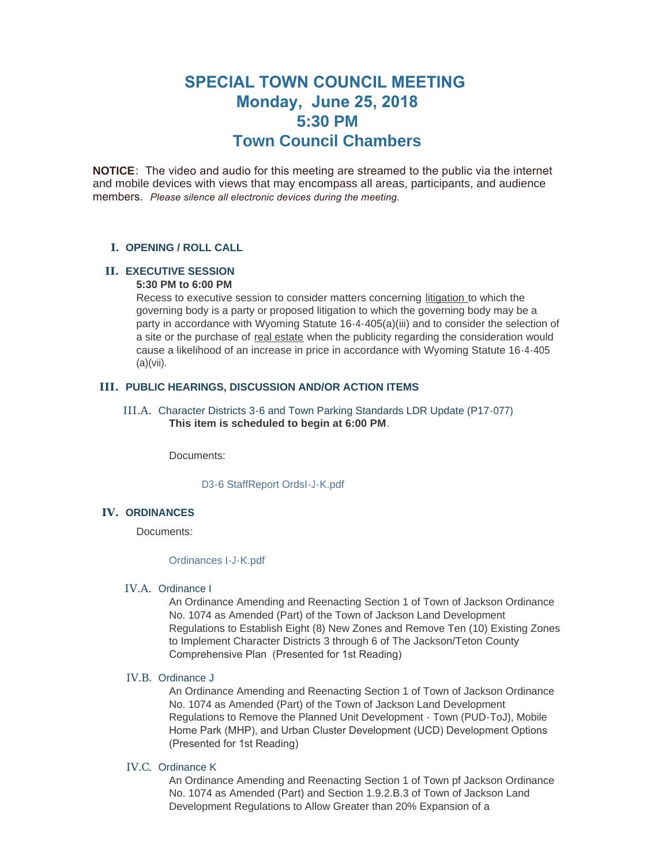# **SPECIAL TOWN COUNCIL MEETING Monday, June 25, 2018 5:30 PM Town Council Chambers**

**NOTICE**: The video and audio for this meeting are streamed to the public via the internet and mobile devices with views that may encompass all areas, participants, and audience members. *Please silence all electronic devices during the meeting.* 

#### **OPENING / ROLL CALL I.**

#### **EXECUTIVE SESSION II.**

### **5:30 PM to 6:00 PM**

Recess to executive session to consider matters concerning litigation to which the governing body is a party or proposed litigation to which the governing body may be a party in accordance with Wyoming Statute 16-4-405(a)(iii) and to consider the selection of a site or the purchase of real estate when the publicity regarding the consideration would cause a likelihood of an increase in price in accordance with Wyoming Statute 16-4-405 (a)(vii).

#### **PUBLIC HEARINGS, DISCUSSION AND/OR ACTION ITEMS III.**

III.A. Character Districts 3-6 and Town Parking Standards LDR Update (P17-077) **This item is scheduled to begin at 6:00 PM**.

Documents:

[D3-6 StaffReport OrdsI-J-K.pdf](https://www.jacksonwy.gov/AgendaCenter/ViewFile/Item/1301?fileID=3767)

#### **IV. ORDINANCES**

Documents:

#### [Ordinances I-J-K.pdf](https://www.jacksonwy.gov/AgendaCenter/ViewFile/Item/1308?fileID=3766)

#### IV.A. Ordinance I

An Ordinance Amending and Reenacting Section 1 of Town of Jackson Ordinance No. 1074 as Amended (Part) of the Town of Jackson Land Development Regulations to Establish Eight (8) New Zones and Remove Ten (10) Existing Zones to Implement Character Districts 3 through 6 of The Jackson/Teton County Comprehensive Plan (Presented for 1st Reading)

#### IV.B. Ordinance J

An Ordinance Amending and Reenacting Section 1 of Town of Jackson Ordinance No. 1074 as Amended (Part) of the Town of Jackson Land Development Regulations to Remove the Planned Unit Development - Town (PUD-ToJ), Mobile Home Park (MHP), and Urban Cluster Development (UCD) Development Options (Presented for 1st Reading)

#### IV.C. Ordinance K

An Ordinance Amending and Reenacting Section 1 of Town pf Jackson Ordinance No. 1074 as Amended (Part) and Section 1.9.2.B.3 of Town of Jackson Land Development Regulations to Allow Greater than 20% Expansion of a